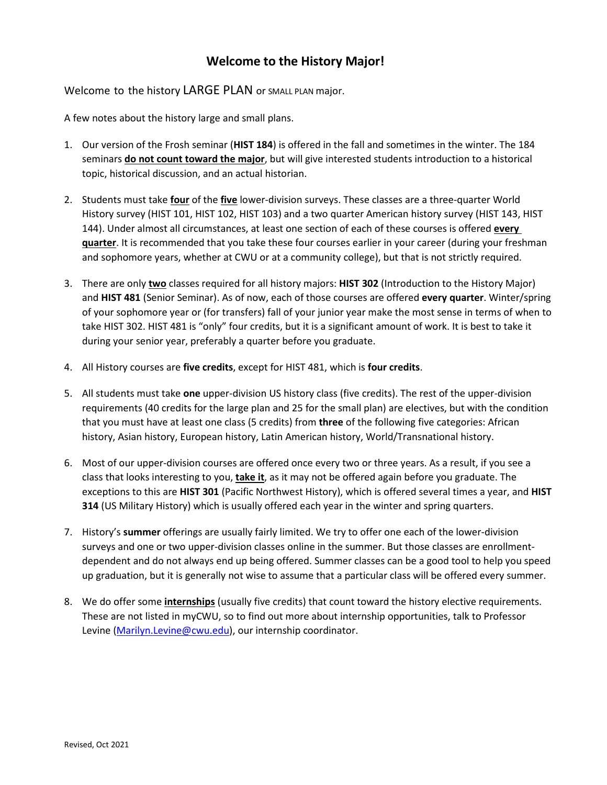## **Welcome to the History Major!**

Welcome to the history LARGE PLAN or SMALL PLAN major.

A few notes about the history large and small plans.

- 1. Our version of the Frosh seminar (**HIST 184**) is offered in the fall and sometimes in the winter. The 184 seminars **do not count toward the major**, but will give interested students introduction to a historical topic, historical discussion, and an actual historian.
- 2. Students must take **four** of the **five** lower-division surveys. These classes are a three-quarter World History survey (HIST 101, HIST 102, HIST 103) and a two quarter American history survey (HIST 143, HIST 144). Under almost all circumstances, at least one section of each of these courses is offered **every quarter**. It is recommended that you take these four courses earlier in your career (during your freshman and sophomore years, whether at CWU or at a community college), but that is not strictly required.
- 3. There are only **two** classes required for all history majors: **HIST 302** (Introduction to the History Major) and **HIST 481** (Senior Seminar). As of now, each of those courses are offered **every quarter**. Winter/spring of your sophomore year or (for transfers) fall of your junior year make the most sense in terms of when to take HIST 302. HIST 481 is "only" four credits, but it is a significant amount of work. It is best to take it during your senior year, preferably a quarter before you graduate.
- 4. All History courses are **five credits**, except for HIST 481, which is **four credits**.
- 5. All students must take **one** upper-division US history class (five credits). The rest of the upper-division requirements (40 credits for the large plan and 25 for the small plan) are electives, but with the condition that you must have at least one class (5 credits) from **three** of the following five categories: African history, Asian history, European history, Latin American history, World/Transnational history.
- 6. Most of our upper-division courses are offered once every two or three years. As a result, if you see a class that looks interesting to you, **take it**, as it may not be offered again before you graduate. The exceptions to this are **HIST 301** (Pacific Northwest History), which is offered several times a year, and **HIST 314** (US Military History) which is usually offered each year in the winter and spring quarters.
- 7. History's **summer** offerings are usually fairly limited. We try to offer one each of the lower-division surveys and one or two upper-division classes online in the summer. But those classes are enrollmentdependent and do not always end up being offered. Summer classes can be a good tool to help you speed up graduation, but it is generally not wise to assume that a particular class will be offered every summer.
- 8. We do offer some **internships** (usually five credits) that count toward the history elective requirements. These are not listed in myCWU, so to find out more about internship opportunities, talk to Professor Levine [\(Marilyn.Levine@cwu.edu\)](mailto:Marilyn.Levine@cwu.edu), our internship coordinator.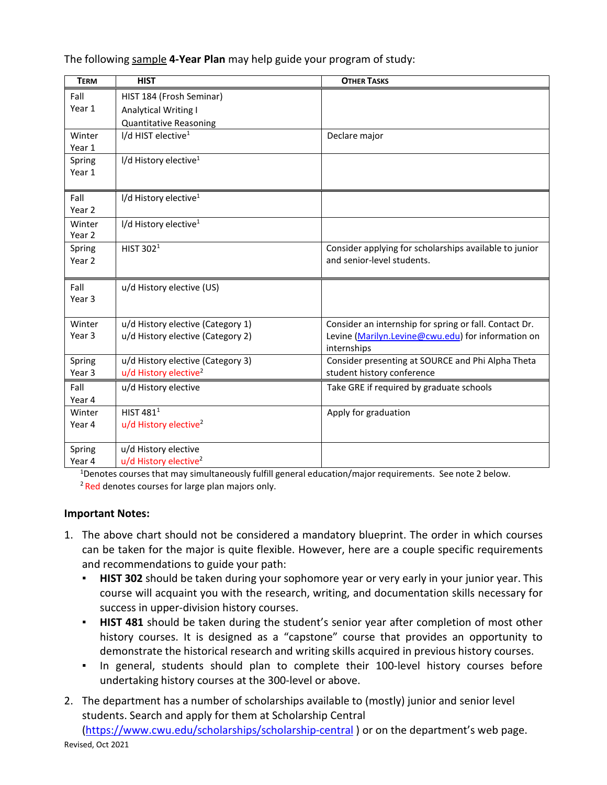| <b>TERM</b> | <b>HIST</b>                       | <b>OTHER TASKS</b>                                     |
|-------------|-----------------------------------|--------------------------------------------------------|
| Fall        | HIST 184 (Frosh Seminar)          |                                                        |
| Year 1      | <b>Analytical Writing I</b>       |                                                        |
|             | <b>Quantitative Reasoning</b>     |                                                        |
| Winter      | I/d HIST elective <sup>1</sup>    | Declare major                                          |
| Year 1      |                                   |                                                        |
| Spring      | I/d History elective <sup>1</sup> |                                                        |
| Year 1      |                                   |                                                        |
| Fall        | I/d History elective <sup>1</sup> |                                                        |
| Year 2      |                                   |                                                        |
| Winter      | I/d History elective <sup>1</sup> |                                                        |
| Year 2      |                                   |                                                        |
| Spring      | HIST 302 <sup>1</sup>             | Consider applying for scholarships available to junior |
| Year 2      |                                   | and senior-level students.                             |
| Fall        | u/d History elective (US)         |                                                        |
| Year 3      |                                   |                                                        |
|             |                                   |                                                        |
| Winter      | u/d History elective (Category 1) | Consider an internship for spring or fall. Contact Dr. |
| Year 3      | u/d History elective (Category 2) | Levine (Marilyn.Levine@cwu.edu) for information on     |
|             |                                   | internships                                            |
| Spring      | u/d History elective (Category 3) | Consider presenting at SOURCE and Phi Alpha Theta      |
| Year 3      | u/d History elective <sup>2</sup> | student history conference                             |
| Fall        | u/d History elective              | Take GRE if required by graduate schools               |
| Year 4      |                                   |                                                        |
| Winter      | HIST 481 <sup>1</sup>             | Apply for graduation                                   |
| Year 4      | u/d History elective <sup>2</sup> |                                                        |
| Spring      | u/d History elective              |                                                        |
| Year 4      | u/d History elective <sup>2</sup> |                                                        |

The following sample **4-Year Plan** may help guide your program of study:

<sup>1</sup>Denotes courses that may simultaneously fulfill general education/major requirements. See note 2 below. <sup>2</sup> Red denotes courses for large plan majors only.

## **Important Notes:**

- 1. The above chart should not be considered a mandatory blueprint. The order in which courses can be taken for the major is quite flexible. However, here are a couple specific requirements and recommendations to guide your path:
	- **HIST 302** should be taken during your sophomore year or very early in your junior year. This course will acquaint you with the research, writing, and documentation skills necessary for success in upper-division history courses.
	- **HIST 481** should be taken during the student's senior year after completion of most other history courses. It is designed as a "capstone" course that provides an opportunity to demonstrate the historical research and writing skills acquired in previous history courses.
	- In general, students should plan to complete their 100-level history courses before undertaking history courses at the 300-level or above.
- 2. The department has a number of scholarships available to (mostly) junior and senior level students. Search and apply for them at Scholarship Central

Revised, Oct 2021 [\(https://www.cwu.edu/scholarships/scholarship-central](https://www.cwu.edu/scholarships/scholarship-central) ) or on the department's web page.